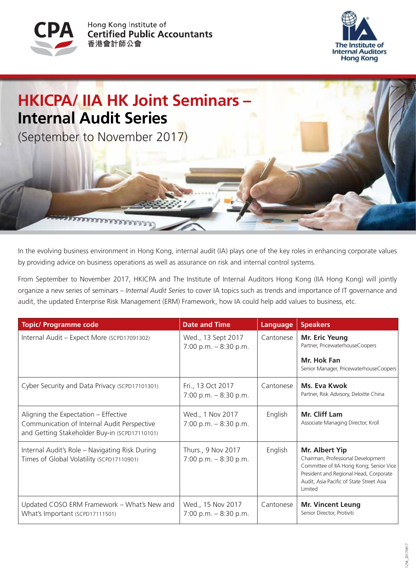





In the evolving business environment in Hong Kong, internal audit (IA) plays one of the key roles in enhancing corporate values by providing advice on business operations as well as assurance on risk and internal control systems.

From September to November 2017, HKICPA and The Institute of Internal Auditors Hong Kong (IIA Hong Kong) will jointly organize a new series of seminars – *Internal Audit Series* to cover IA topics such as trends and importance of IT governance and audit, the updated Enterprise Risk Management (ERM) Framework, how IA could help add values to business, etc.

| <b>Topic/ Programme code</b>                                                                                                         | <b>Date and Time</b>                         | Language  | <b>Speakers</b>                                                                                                                                                                                         |
|--------------------------------------------------------------------------------------------------------------------------------------|----------------------------------------------|-----------|---------------------------------------------------------------------------------------------------------------------------------------------------------------------------------------------------------|
| Internal Audit - Expect More (SCPD17091302)                                                                                          | Wed., 13 Sept 2017<br>7:00 p.m. $-8:30$ p.m. | Cantonese | <b>Mr. Eric Yeung</b><br>Partner, PricewaterhouseCoopers<br>Mr. Hok Fan                                                                                                                                 |
|                                                                                                                                      |                                              |           | Senior Manager, PricewaterhouseCoopers                                                                                                                                                                  |
| Cyber Security and Data Privacy (SCPD17101301)                                                                                       | Fri., 13 Oct 2017<br>7:00 p.m. $-8:30$ p.m.  | Cantonese | Ms. Eva Kwok<br>Partner, Risk Advisory, Deloitte China                                                                                                                                                  |
| Aligning the Expectation - Effective<br>Communication of Internal Audit Perspective<br>and Getting Stakeholder Buy-in (SCPD17110101) | Wed., 1 Nov 2017<br>7:00 p.m. $-8:30$ p.m.   | English   | Mr. Cliff Lam<br>Associate Managing Director, Kroll                                                                                                                                                     |
| Internal Audit's Role – Navigating Risk During<br>Times of Global Volatility (SCPD17110901)                                          | Thurs., 9 Nov 2017<br>7:00 p.m. $-8:30$ p.m. | English   | <b>Mr. Albert Yip</b><br>Chairman, Professional Development<br>Committee of IIA Hong Kong; Senior Vice<br>President and Regional Head, Corporate<br>Audit, Asia Pacific of State Street Asia<br>Limited |
| Updated COSO ERM Framework - What's New and<br>What's Important (SCPD17111501)                                                       | Wed., 15 Nov 2017<br>7:00 p.m. $-8:30$ p.m.  | Cantonese | <b>Mr. Vincent Leung</b><br>Senior Director, Protiviti                                                                                                                                                  |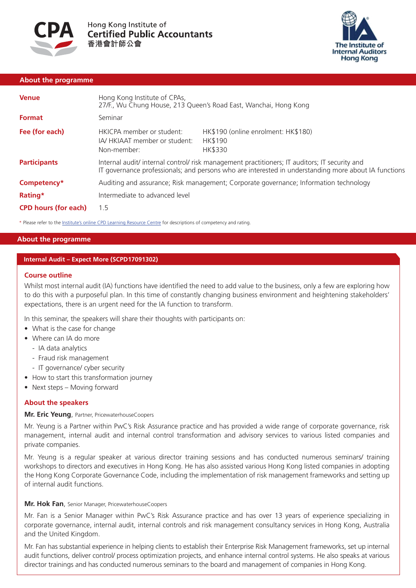



## **About the programme**

| <b>Venue</b>                | Hong Kong Institute of CPAs,<br>27/F., Wu Chung House, 213 Queen's Road East, Wanchai, Hong Kong                                                                                                      |                                                           |  |  |  |  |  |
|-----------------------------|-------------------------------------------------------------------------------------------------------------------------------------------------------------------------------------------------------|-----------------------------------------------------------|--|--|--|--|--|
| <b>Format</b>               | Seminar                                                                                                                                                                                               |                                                           |  |  |  |  |  |
| Fee (for each)              | HKICPA member or student:<br>IA/HKIAAT member or student:<br>Non-member:                                                                                                                              | HK\$190 (online enrolment: HK\$180)<br>HK\$190<br>HK\$330 |  |  |  |  |  |
| <b>Participants</b>         | Internal audit/ internal control/ risk management practitioners; IT auditors; IT security and<br>IT governance professionals; and persons who are interested in understanding more about IA functions |                                                           |  |  |  |  |  |
| Competency*                 | Auditing and assurance; Risk management; Corporate governance; Information technology                                                                                                                 |                                                           |  |  |  |  |  |
| Rating*                     | Intermediate to advanced level                                                                                                                                                                        |                                                           |  |  |  |  |  |
| <b>CPD hours (for each)</b> | 1.5                                                                                                                                                                                                   |                                                           |  |  |  |  |  |

\* Please refer to th[e Institute's online CPD Learning Resource Centre](http://www.hkicpa.org.hk/file/media/section4_cpd/Continuing Professinoal Development Programme (CPD)/pdf/guide/CPDevents-NewCategories-ratings.pdf) for descriptions of competency and rating.

# **About the programme**

## **Internal Audit – Expect More (SCPD17091302)**

#### **Course outline**

Whilst most internal audit (IA) functions have identified the need to add value to the business, only a few are exploring how to do this with a purposeful plan. In this time of constantly changing business environment and heightening stakeholders' expectations, there is an urgent need for the IA function to transform.

In this seminar, the speakers will share their thoughts with participants on:

- What is the case for change
- Where can IA do more
	- IA data analytics
	- Fraud risk management
	- IT governance/ cyber security
- How to start this transformation journey
- Next steps Moving forward

### **About the speakers**

## **Mr. Eric Yeung**, Partner, PricewaterhouseCoopers

Mr. Yeung is a Partner within PwC's Risk Assurance practice and has provided a wide range of corporate governance, risk management, internal audit and internal control transformation and advisory services to various listed companies and private companies.

Mr. Yeung is a regular speaker at various director training sessions and has conducted numerous seminars/ training workshops to directors and executives in Hong Kong. He has also assisted various Hong Kong listed companies in adopting the Hong Kong Corporate Governance Code, including the implementation of risk management frameworks and setting up of internal audit functions.

### **Mr. Hok Fan**, Senior Manager, PricewaterhouseCoopers

Mr. Fan is a Senior Manager within PwC's Risk Assurance practice and has over 13 years of experience specializing in corporate governance, internal audit, internal controls and risk management consultancy services in Hong Kong, Australia and the United Kingdom.

Mr. Fan has substantial experience in helping clients to establish their Enterprise Risk Management frameworks, set up internal audit functions, deliver control/ process optimization projects, and enhance internal control systems. He also speaks at various director trainings and has conducted numerous seminars to the board and management of companies in Hong Kong.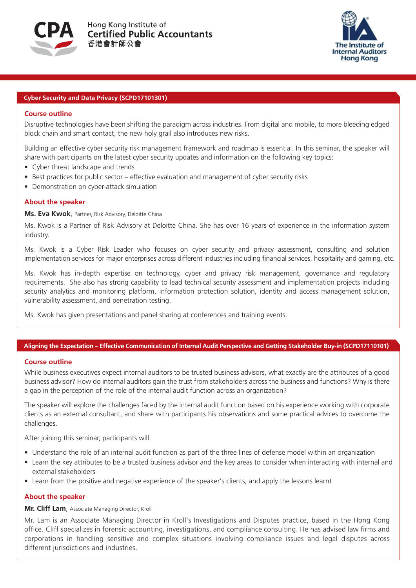



## **Cyber Security and Data Privacy (SCPD17101301)**

### **Course outline**

Disruptive technologies have been shifting the paradigm across industries. From digital and mobile, to more bleeding edged block chain and smart contact, the new holy grail also introduces new risks.

Building an effective cyber security risk management framework and roadmap is essential. In this seminar, the speaker will share with participants on the latest cyber security updates and information on the following key topics:

- Cyber threat landscape and trends
- Best practices for public sector effective evaluation and management of cyber security risks
- Demonstration on cyber-attack simulation

#### **About the speaker**

**Ms. Eva Kwok**, Partner, Risk Advisory, Deloitte China

Ms. Kwok is a Partner of Risk Advisory at Deloitte China. She has over 16 years of experience in the information system industry.

Ms. Kwok is a Cyber Risk Leader who focuses on cyber security and privacy assessment, consulting and solution implementation services for major enterprises across different industries including financial services, hospitality and gaming, etc.

Ms. Kwok has in-depth expertise on technology, cyber and privacy risk management, governance and regulatory requirements. She also has strong capability to lead technical security assessment and implementation projects including security analytics and monitoring platform, information protection solution, identity and access management solution, vulnerability assessment, and penetration testing.

Ms. Kwok has given presentations and panel sharing at conferences and training events.

### **Aligning the Expectation – Effective Communication of Internal Audit Perspective and Getting Stakeholder Buy-in (SCPD17110101)**

#### **Course outline**

While business executives expect internal auditors to be trusted business advisors, what exactly are the attributes of a good business advisor? How do internal auditors gain the trust from stakeholders across the business and functions? Why is there a gap in the perception of the role of the internal audit function across an organization?

The speaker will explore the challenges faced by the internal audit function based on his experience working with corporate clients as an external consultant, and share with participants his observations and some practical advices to overcome the challenges.

After joining this seminar, participants will:

- Understand the role of an internal audit function as part of the three lines of defense model within an organization
- Learn the key attributes to be a trusted business advisor and the key areas to consider when interacting with internal and external stakeholders
- Learn from the positive and negative experience of the speaker's clients, and apply the lessons learnt

#### **About the speaker**

### **Mr. Cliff Lam**, Associate Managing Director, Kroll

Mr. Lam is an Associate Managing Director in Kroll's Investigations and Disputes practice, based in the Hong Kong office. Cliff specializes in forensic accounting, investigations, and compliance consulting. He has advised law firms and corporations in handling sensitive and complex situations involving compliance issues and legal disputes across different jurisdictions and industries.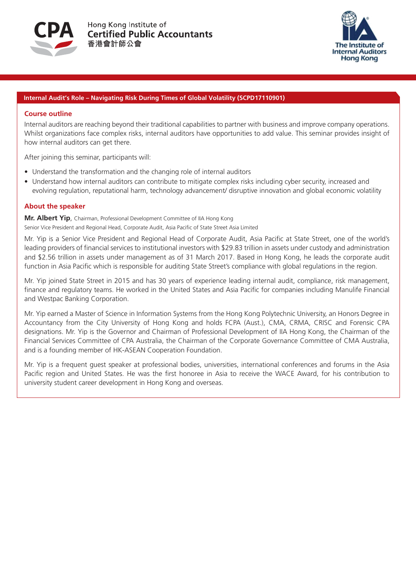



## **Internal Audit's Role – Navigating Risk During Times of Global Volatility (SCPD17110901)**

#### **Course outline**

Internal auditors are reaching beyond their traditional capabilities to partner with business and improve company operations. Whilst organizations face complex risks, internal auditors have opportunities to add value. This seminar provides insight of how internal auditors can get there.

After joining this seminar, participants will:

- Understand the transformation and the changing role of internal auditors
- Understand how internal auditors can contribute to mitigate complex risks including cyber security, increased and evolving regulation, reputational harm, technology advancement/ disruptive innovation and global economic volatility

## **About the speaker**

**Mr. Albert Yip**, Chairman, Professional Development Committee of IIA Hong Kong Senior Vice President and Regional Head, Corporate Audit, Asia Pacific of State Street Asia Limited

Mr. Yip is a Senior Vice President and Regional Head of Corporate Audit, Asia Pacific at State Street, one of the world's leading providers of financial services to institutional investors with \$29.83 trillion in assets under custody and administration and \$2.56 trillion in assets under management as of 31 March 2017. Based in Hong Kong, he leads the corporate audit function in Asia Pacific which is responsible for auditing State Street's compliance with global regulations in the region.

Mr. Yip joined State Street in 2015 and has 30 years of experience leading internal audit, compliance, risk management, finance and regulatory teams. He worked in the United States and Asia Pacific for companies including Manulife Financial and Westpac Banking Corporation.

Mr. Yip earned a Master of Science in Information Systems from the Hong Kong Polytechnic University, an Honors Degree in Accountancy from the City University of Hong Kong and holds FCPA (Aust.), CMA, CRMA, CRISC and Forensic CPA designations. Mr. Yip is the Governor and Chairman of Professional Development of IIA Hong Kong, the Chairman of the Financial Services Committee of CPA Australia, the Chairman of the Corporate Governance Committee of CMA Australia, and is a founding member of HK-ASEAN Cooperation Foundation.

Mr. Yip is a frequent guest speaker at professional bodies, universities, international conferences and forums in the Asia Pacific region and United States. He was the first honoree in Asia to receive the WACE Award, for his contribution to university student career development in Hong Kong and overseas.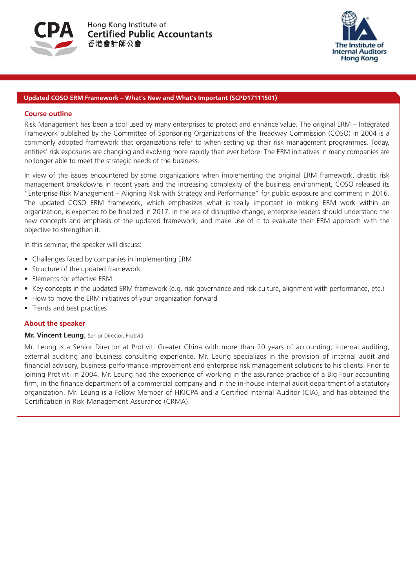



## **Updated COSO ERM Framework – What's New and What's Important (SCPD17111501)**

### **Course outline**

Risk Management has been a tool used by many enterprises to protect and enhance value. The original ERM – Integrated Framework published by the Committee of Sponsoring Organizations of the Treadway Commission (COSO) in 2004 is a commonly adopted framework that organizations refer to when setting up their risk management programmes. Today, entities' risk exposures are changing and evolving more rapidly than ever before. The ERM initiatives in many companies are no longer able to meet the strategic needs of the business.

In view of the issues encountered by some organizations when implementing the original ERM framework, drastic risk management breakdowns in recent years and the increasing complexity of the business environment, COSO released its "Enterprise Risk Management – Aligning Risk with Strategy and Performance" for public exposure and comment in 2016. The updated COSO ERM framework, which emphasizes what is really important in making ERM work within an organization, is expected to be finalized in 2017. In the era of disruptive change, enterprise leaders should understand the new concepts and emphasis of the updated framework, and make use of it to evaluate their ERM approach with the objective to strengthen it.

In this seminar, the speaker will discuss:

- Challenges faced by companies in implementing ERM
- Structure of the updated framework
- Elements for effective ERM
- Key concepts in the updated ERM framework (e.g. risk governance and risk culture, alignment with performance, etc.)
- How to move the ERM initiatives of your organization forward
- Trends and best practices

# **About the speaker**

### **Mr. Vincent Leung**, Senior Director, Protiviti

Mr. Leung is a Senior Director at Protiviti Greater China with more than 20 years of accounting, internal auditing, external auditing and business consulting experience. Mr. Leung specializes in the provision of internal audit and financial advisory, business performance improvement and enterprise risk management solutions to his clients. Prior to joining Protiviti in 2004, Mr. Leung had the experience of working in the assurance practice of a Big Four accounting firm, in the finance department of a commercial company and in the in-house internal audit department of a statutory organization. Mr. Leung is a Fellow Member of HKICPA and a Certified Internal Auditor (CIA), and has obtained the Certification in Risk Management Assurance (CRMA).